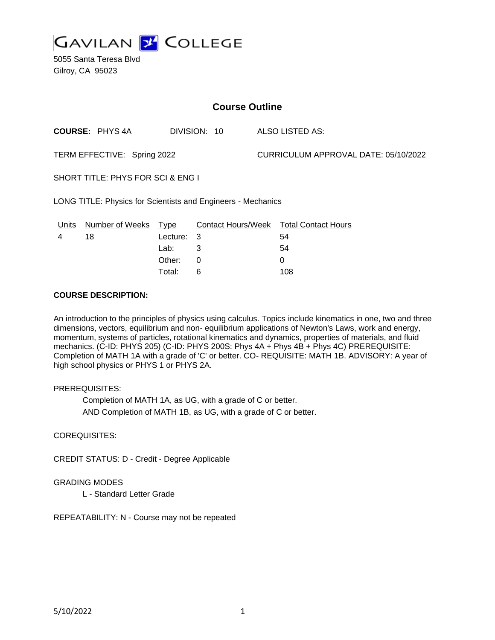

5055 Santa Teresa Blvd Gilroy, CA 95023

| <b>Course Outline</b>                                        |                       |            |              |                                      |                                        |
|--------------------------------------------------------------|-----------------------|------------|--------------|--------------------------------------|----------------------------------------|
|                                                              | <b>COURSE: PHYS4A</b> |            | DIVISION: 10 |                                      | ALSO LISTED AS:                        |
| TERM EFFECTIVE: Spring 2022                                  |                       |            |              | CURRICULUM APPROVAL DATE: 05/10/2022 |                                        |
| SHORT TITLE: PHYS FOR SCI & ENG I                            |                       |            |              |                                      |                                        |
| LONG TITLE: Physics for Scientists and Engineers - Mechanics |                       |            |              |                                      |                                        |
| Units                                                        | Number of Weeks       | Type       |              |                                      | Contact Hours/Week Total Contact Hours |
| 4                                                            | 18                    | Lecture: 3 |              |                                      | 54                                     |
|                                                              |                       | Lab:       | 3            |                                      | 54                                     |
|                                                              |                       | Other:     | 0            |                                      | 0                                      |

Total: 6 108

### **COURSE DESCRIPTION:**

An introduction to the principles of physics using calculus. Topics include kinematics in one, two and three dimensions, vectors, equilibrium and non- equilibrium applications of Newton's Laws, work and energy, momentum, systems of particles, rotational kinematics and dynamics, properties of materials, and fluid mechanics. (C-ID: PHYS 205) (C-ID: PHYS 200S: Phys 4A + Phys 4B + Phys 4C) PREREQUISITE: Completion of MATH 1A with a grade of 'C' or better. CO- REQUISITE: MATH 1B. ADVISORY: A year of high school physics or PHYS 1 or PHYS 2A.

### PREREQUISITES:

Completion of MATH 1A, as UG, with a grade of C or better. AND Completion of MATH 1B, as UG, with a grade of C or better.

### COREQUISITES:

CREDIT STATUS: D - Credit - Degree Applicable

### GRADING MODES

L - Standard Letter Grade

REPEATABILITY: N - Course may not be repeated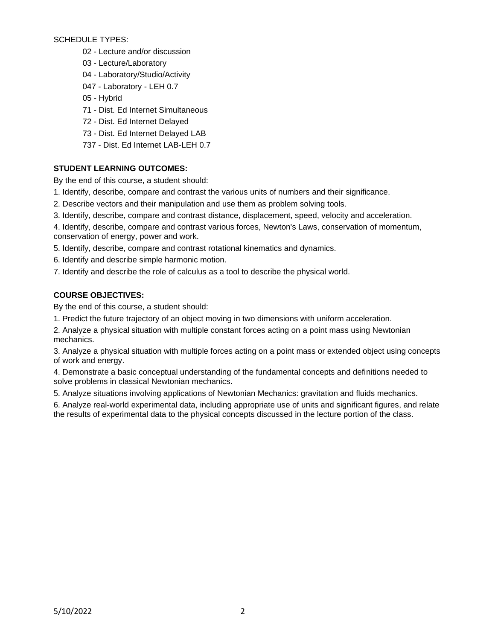SCHEDULE TYPES:

- 02 Lecture and/or discussion
- 03 Lecture/Laboratory
- 04 Laboratory/Studio/Activity
- 047 Laboratory LEH 0.7
- 05 Hybrid
- 71 Dist. Ed Internet Simultaneous
- 72 Dist. Ed Internet Delayed
- 73 Dist. Ed Internet Delayed LAB
- 737 Dist. Ed Internet LAB-LEH 0.7

# **STUDENT LEARNING OUTCOMES:**

By the end of this course, a student should:

- 1. Identify, describe, compare and contrast the various units of numbers and their significance.
- 2. Describe vectors and their manipulation and use them as problem solving tools.
- 3. Identify, describe, compare and contrast distance, displacement, speed, velocity and acceleration.
- 4. Identify, describe, compare and contrast various forces, Newton's Laws, conservation of momentum, conservation of energy, power and work.
- 5. Identify, describe, compare and contrast rotational kinematics and dynamics.
- 6. Identify and describe simple harmonic motion.
- 7. Identify and describe the role of calculus as a tool to describe the physical world.

# **COURSE OBJECTIVES:**

By the end of this course, a student should:

- 1. Predict the future trajectory of an object moving in two dimensions with uniform acceleration.
- 2. Analyze a physical situation with multiple constant forces acting on a point mass using Newtonian mechanics.

3. Analyze a physical situation with multiple forces acting on a point mass or extended object using concepts of work and energy.

4. Demonstrate a basic conceptual understanding of the fundamental concepts and definitions needed to solve problems in classical Newtonian mechanics.

5. Analyze situations involving applications of Newtonian Mechanics: gravitation and fluids mechanics.

6. Analyze real-world experimental data, including appropriate use of units and significant figures, and relate the results of experimental data to the physical concepts discussed in the lecture portion of the class.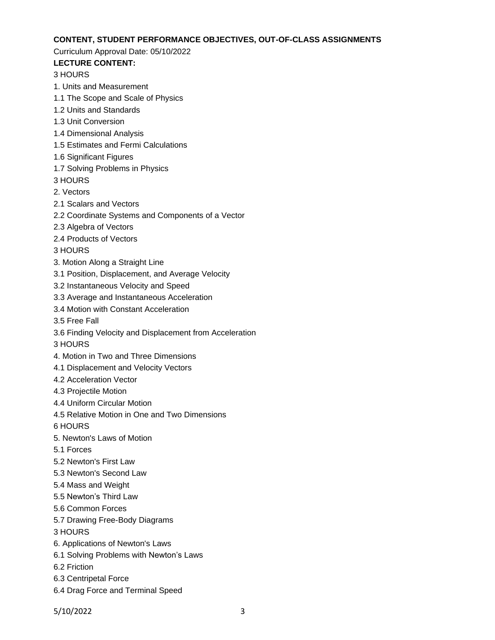### **CONTENT, STUDENT PERFORMANCE OBJECTIVES, OUT-OF-CLASS ASSIGNMENTS**

### Curriculum Approval Date: 05/10/2022

# **LECTURE CONTENT:**

### 3 HOURS

- 1. Units and Measurement
- 1.1 The Scope and Scale of Physics
- 1.2 Units and Standards
- 1.3 Unit Conversion
- 1.4 Dimensional Analysis
- 1.5 Estimates and Fermi Calculations
- 1.6 Significant Figures
- 1.7 Solving Problems in Physics
- 3 HOURS
- 2. Vectors
- 2.1 Scalars and Vectors
- 2.2 Coordinate Systems and Components of a Vector
- 2.3 Algebra of Vectors
- 2.4 Products of Vectors
- 3 HOURS
- 3. Motion Along a Straight Line
- 3.1 Position, Displacement, and Average Velocity
- 3.2 Instantaneous Velocity and Speed
- 3.3 Average and Instantaneous Acceleration
- 3.4 Motion with Constant Acceleration
- 3.5 Free Fall
- 3.6 Finding Velocity and Displacement from Acceleration
- 3 HOURS
- 4. Motion in Two and Three Dimensions
- 4.1 Displacement and Velocity Vectors
- 4.2 Acceleration Vector
- 4.3 Projectile Motion
- 4.4 Uniform Circular Motion
- 4.5 Relative Motion in One and Two Dimensions
- 6 HOURS
- 5. Newton's Laws of Motion
- 5.1 Forces
- 5.2 Newton's First Law
- 5.3 Newton's Second Law
- 5.4 Mass and Weight
- 5.5 Newton's Third Law
- 5.6 Common Forces
- 5.7 Drawing Free-Body Diagrams
- 3 HOURS
- 6. Applications of Newton's Laws
- 6.1 Solving Problems with Newton's Laws
- 6.2 Friction
- 6.3 Centripetal Force
- 6.4 Drag Force and Terminal Speed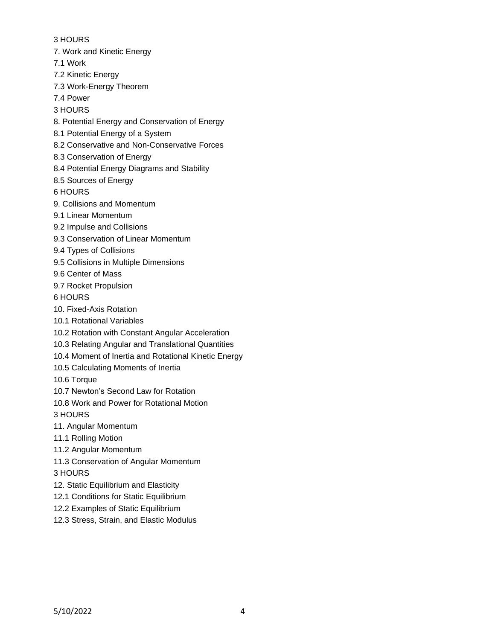3 HOURS 7. Work and Kinetic Energy 7.1 Work 7.2 Kinetic Energy 7.3 Work-Energy Theorem 7.4 Power 3 HOURS 8. Potential Energy and Conservation of Energy 8.1 Potential Energy of a System 8.2 Conservative and Non-Conservative Forces 8.3 Conservation of Energy 8.4 Potential Energy Diagrams and Stability 8.5 Sources of Energy 6 HOURS 9. Collisions and Momentum 9.1 Linear Momentum 9.2 Impulse and Collisions 9.3 Conservation of Linear Momentum 9.4 Types of Collisions 9.5 Collisions in Multiple Dimensions 9.6 Center of Mass 9.7 Rocket Propulsion 6 HOURS 10. Fixed-Axis Rotation 10.1 Rotational Variables 10.2 Rotation with Constant Angular Acceleration 10.3 Relating Angular and Translational Quantities 10.4 Moment of Inertia and Rotational Kinetic Energy 10.5 Calculating Moments of Inertia 10.6 Torque 10.7 Newton's Second Law for Rotation 10.8 Work and Power for Rotational Motion 3 HOURS 11. Angular Momentum 11.1 Rolling Motion 11.2 Angular Momentum 11.3 Conservation of Angular Momentum 3 HOURS 12. Static Equilibrium and Elasticity 12.1 Conditions for Static Equilibrium 12.2 Examples of Static Equilibrium 12.3 Stress, Strain, and Elastic Modulus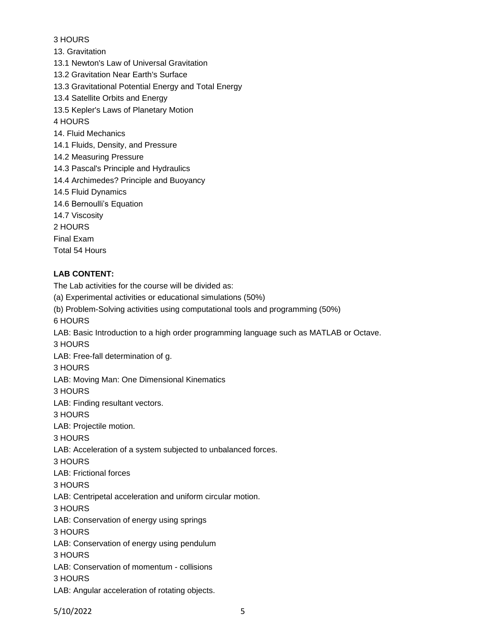# 3 HOURS

13. Gravitation

13.1 Newton's Law of Universal Gravitation

13.2 Gravitation Near Earth's Surface

13.3 Gravitational Potential Energy and Total Energy

13.4 Satellite Orbits and Energy

13.5 Kepler's Laws of Planetary Motion

4 HOURS

- 14. Fluid Mechanics
- 14.1 Fluids, Density, and Pressure
- 14.2 Measuring Pressure
- 14.3 Pascal's Principle and Hydraulics
- 14.4 Archimedes? Principle and Buoyancy
- 14.5 Fluid Dynamics
- 14.6 Bernoulli's Equation
- 14.7 Viscosity

2 HOURS

Final Exam

Total 54 Hours

# **LAB CONTENT:**

The Lab activities for the course will be divided as: (a) Experimental activities or educational simulations (50%) (b) Problem-Solving activities using computational tools and programming (50%) 6 HOURS LAB: Basic Introduction to a high order programming language such as MATLAB or Octave. 3 HOURS LAB: Free-fall determination of g. 3 HOURS LAB: Moving Man: One Dimensional Kinematics 3 HOURS LAB: Finding resultant vectors. 3 HOURS LAB: Projectile motion. 3 HOURS LAB: Acceleration of a system subjected to unbalanced forces. 3 HOURS LAB: Frictional forces 3 HOURS LAB: Centripetal acceleration and uniform circular motion. 3 HOURS LAB: Conservation of energy using springs 3 HOURS LAB: Conservation of energy using pendulum 3 HOURS LAB: Conservation of momentum - collisions 3 HOURS LAB: Angular acceleration of rotating objects.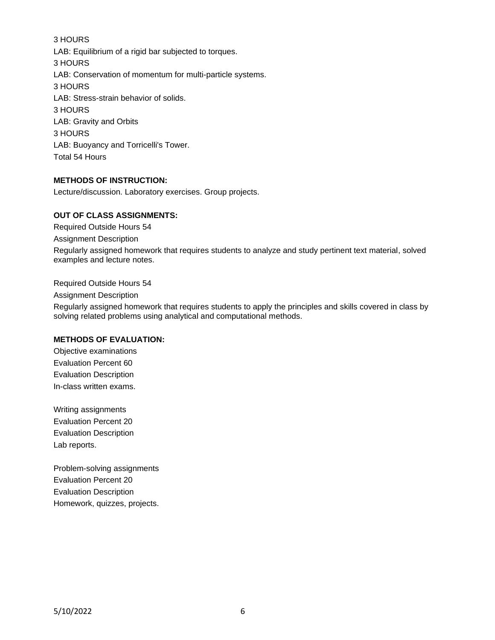3 HOURS LAB: Equilibrium of a rigid bar subjected to torques. 3 HOURS LAB: Conservation of momentum for multi-particle systems. 3 HOURS LAB: Stress-strain behavior of solids. 3 HOURS LAB: Gravity and Orbits 3 HOURS LAB: Buoyancy and Torricelli's Tower. Total 54 Hours

### **METHODS OF INSTRUCTION:**

Lecture/discussion. Laboratory exercises. Group projects.

#### **OUT OF CLASS ASSIGNMENTS:**

Required Outside Hours 54

Assignment Description

Regularly assigned homework that requires students to analyze and study pertinent text material, solved examples and lecture notes.

Required Outside Hours 54

Assignment Description

Regularly assigned homework that requires students to apply the principles and skills covered in class by solving related problems using analytical and computational methods.

#### **METHODS OF EVALUATION:**

Objective examinations Evaluation Percent 60 Evaluation Description In-class written exams.

Writing assignments Evaluation Percent 20 Evaluation Description Lab reports.

Problem-solving assignments Evaluation Percent 20 Evaluation Description Homework, quizzes, projects.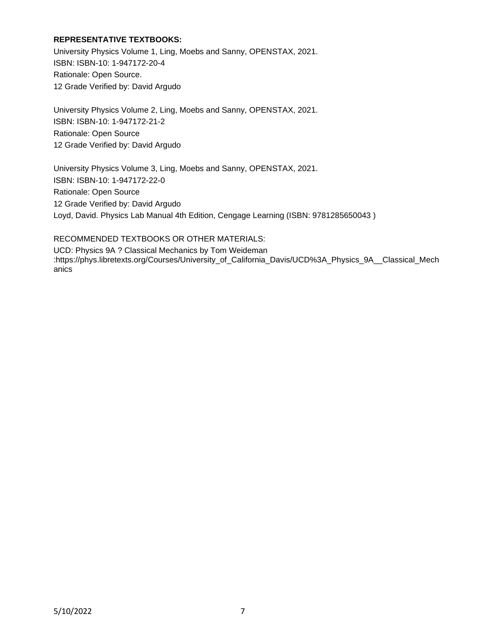### **REPRESENTATIVE TEXTBOOKS:**

University Physics Volume 1, Ling, Moebs and Sanny, OPENSTAX, 2021. ISBN: ISBN-10: 1-947172-20-4 Rationale: Open Source. 12 Grade Verified by: David Argudo

University Physics Volume 2, Ling, Moebs and Sanny, OPENSTAX, 2021. ISBN: ISBN-10: 1-947172-21-2 Rationale: Open Source 12 Grade Verified by: David Argudo

University Physics Volume 3, Ling, Moebs and Sanny, OPENSTAX, 2021. ISBN: ISBN-10: 1-947172-22-0 Rationale: Open Source 12 Grade Verified by: David Argudo Loyd, David. Physics Lab Manual 4th Edition, Cengage Learning (ISBN: 9781285650043 )

RECOMMENDED TEXTBOOKS OR OTHER MATERIALS: UCD: Physics 9A ? Classical Mechanics by Tom Weideman :https://phys.libretexts.org/Courses/University\_of\_California\_Davis/UCD%3A\_Physics\_9A\_\_Classical\_Mech anics